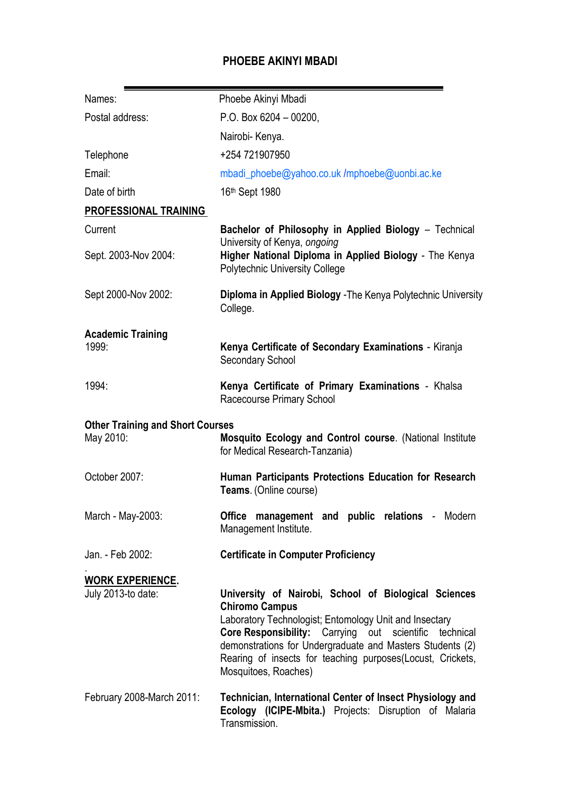# **PHOEBE AKINYI MBADI**

| Names:                                               | Phoebe Akinyi Mbadi                                                                                                                                                                                                                                                                                                                                             |
|------------------------------------------------------|-----------------------------------------------------------------------------------------------------------------------------------------------------------------------------------------------------------------------------------------------------------------------------------------------------------------------------------------------------------------|
| Postal address:                                      | P.O. Box $6204 - 00200$ ,                                                                                                                                                                                                                                                                                                                                       |
|                                                      | Nairobi- Kenya.                                                                                                                                                                                                                                                                                                                                                 |
| Telephone                                            | +254 721907950                                                                                                                                                                                                                                                                                                                                                  |
| Email:                                               | mbadi_phoebe@yahoo.co.uk/mphoebe@uonbi.ac.ke                                                                                                                                                                                                                                                                                                                    |
| Date of birth                                        | 16th Sept 1980                                                                                                                                                                                                                                                                                                                                                  |
| PROFESSIONAL TRAINING                                |                                                                                                                                                                                                                                                                                                                                                                 |
| Current                                              | Bachelor of Philosophy in Applied Biology - Technical<br>University of Kenya, ongoing                                                                                                                                                                                                                                                                           |
| Sept. 2003-Nov 2004:                                 | Higher National Diploma in Applied Biology - The Kenya<br><b>Polytechnic University College</b>                                                                                                                                                                                                                                                                 |
| Sept 2000-Nov 2002:                                  | Diploma in Applied Biology - The Kenya Polytechnic University<br>College.                                                                                                                                                                                                                                                                                       |
| <b>Academic Training</b>                             |                                                                                                                                                                                                                                                                                                                                                                 |
| 1999:                                                | Kenya Certificate of Secondary Examinations - Kiranja<br><b>Secondary School</b>                                                                                                                                                                                                                                                                                |
| 1994:                                                | Kenya Certificate of Primary Examinations - Khalsa<br>Racecourse Primary School                                                                                                                                                                                                                                                                                 |
| <b>Other Training and Short Courses</b><br>May 2010: | <b>Mosquito Ecology and Control course. (National Institute</b><br>for Medical Research-Tanzania)                                                                                                                                                                                                                                                               |
| October 2007:                                        | Human Participants Protections Education for Research<br>Teams. (Online course)                                                                                                                                                                                                                                                                                 |
| March - May-2003:                                    | Office management and public relations - Modern<br>Management Institute.                                                                                                                                                                                                                                                                                        |
| Jan. - Feb 2002:                                     | <b>Certificate in Computer Proficiency</b>                                                                                                                                                                                                                                                                                                                      |
| <b>WORK EXPERIENCE.</b>                              |                                                                                                                                                                                                                                                                                                                                                                 |
| July 2013-to date:                                   | University of Nairobi, School of Biological Sciences<br><b>Chiromo Campus</b><br>Laboratory Technologist; Entomology Unit and Insectary<br><b>Core Responsibility:</b> Carrying out scientific<br>technical<br>demonstrations for Undergraduate and Masters Students (2)<br>Rearing of insects for teaching purposes (Locust, Crickets,<br>Mosquitoes, Roaches) |
| February 2008-March 2011:                            | Technician, International Center of Insect Physiology and<br>Ecology (ICIPE-Mbita.) Projects: Disruption of Malaria<br>Transmission.                                                                                                                                                                                                                            |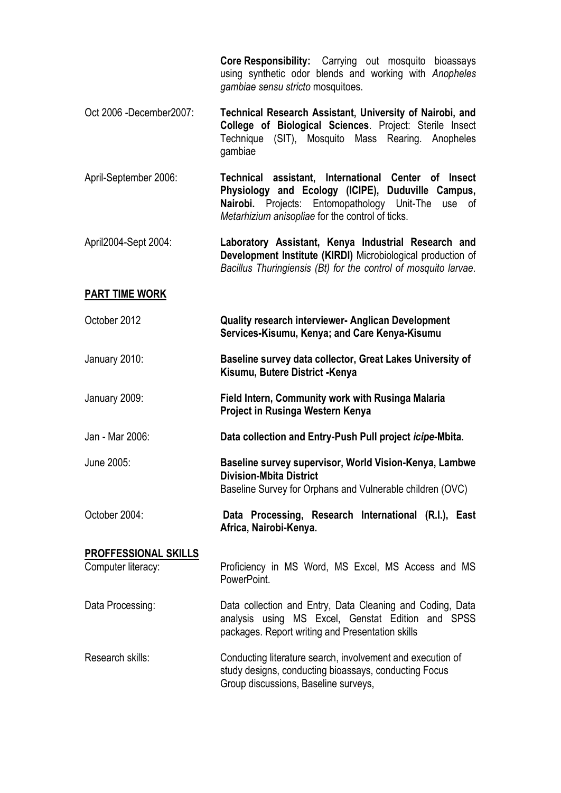**Core Responsibility:** Carrying out mosquito bioassays using synthetic odor blends and working with *Anopheles gambiae sensu stricto* mosquitoes.

- Oct 2006 -December2007: **Technical Research Assistant, University of Nairobi, and College of Biological Sciences**. Project: Sterile Insect Technique (SIT), Mosquito Mass Rearing. Anopheles gambiae
- April-September 2006: **Technical assistant, International Center of Insect Physiology and Ecology (ICIPE), Duduville Campus, Nairobi.** Projects: Entomopathology Unit-The use of *Metarhizium anisopliae* for the control of ticks.
- April2004-Sept 2004: **Laboratory Assistant, Kenya Industrial Research and Development Institute (KIRDI)** Microbiological production of *Bacillus Thuringiensis (Bt) for the control of mosquito larvae.*

### **PART TIME WORK**

- October 2012 **Quality research interviewer- Anglican Development Services-Kisumu, Kenya; and Care Kenya-Kisumu**
- January 2010: **Baseline survey data collector, Great Lakes University of Kisumu, Butere District -Kenya**
- January 2009: **Field Intern, Community work with Rusinga Malaria Project in Rusinga Western Kenya**
- Jan Mar 2006: **Data collection and Entry-Push Pull project** *icipe***-Mbita.**

## June 2005: **Baseline survey supervisor, World Vision-Kenya, Lambwe Division-Mbita District** Baseline Survey for Orphans and Vulnerable children (OVC)

October 2004: **Data Processing, Research International (R.I.), East Africa, Nairobi-Kenya.**

# **PROFFESSIONAL SKILLS** Computer literacy: Proficiency in MS Word, MS Excel, MS Access and MS PowerPoint.

- Data Processing: Data collection and Entry, Data Cleaning and Coding, Data analysis using MS Excel, Genstat Edition and SPSS packages. Report writing and Presentation skills
- Research skills: Conducting literature search, involvement and execution of study designs, conducting bioassays, conducting Focus Group discussions, Baseline surveys,